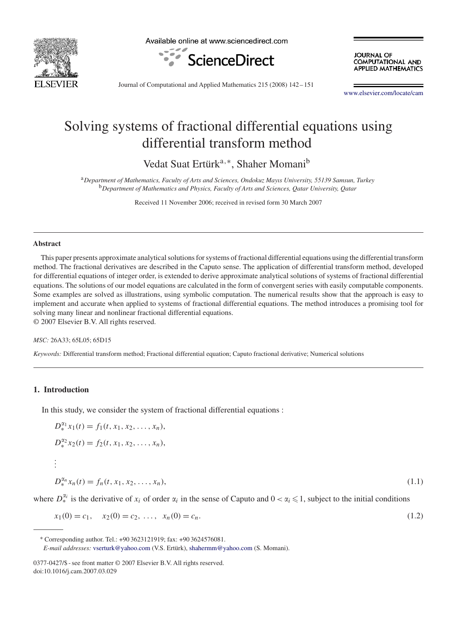

Available online at www.sciencedirect.com



**JOURNAL OF** COMPUTATIONAL AND **APPLIED MATHEMATICS** 

Journal of Computational and Applied Mathematics 215 (2008) 142 –151

www.elsevier.com/locate/cam

# Solving systems of fractional differential equations using differential transform method

Vedat Suat Ertürk<sup>a,∗</sup>, Shaher Momani<sup>b</sup>

<sup>a</sup>*Department of Mathematics, Faculty of Arts and Sciences, Ondokuz Mayıs University, 55139 Samsun, Turkey* <sup>b</sup>*Department of Mathematics and Physics, Faculty of Arts and Sciences, Qatar University, Qatar*

Received 11 November 2006; received in revised form 30 March 2007

#### **Abstract**

This paper presents approximate analytical solutions for systems of fractional differential equations using the differential transform method. The fractional derivatives are described in the Caputo sense. The application of differential transform method, developed for differential equations of integer order, is extended to derive approximate analytical solutions of systems of fractional differential equations. The solutions of our model equations are calculated in the form of convergent series with easily computable components. Some examples are solved as illustrations, using symbolic computation. The numerical results show that the approach is easy to implement and accurate when applied to systems of fractional differential equations. The method introduces a promising tool for solving many linear and nonlinear fractional differential equations.

© 2007 Elsevier B.V. All rights reserved.

#### *MSC:* 26A33; 65L05; 65D15

*Keywords:* Differential transform method; Fractional differential equation; Caputo fractional derivative; Numerical solutions

# **1. Introduction**

In this study, we consider the system of fractional differential equations :

$$
D_{*}^{\alpha_{1}}x_{1}(t) = f_{1}(t, x_{1}, x_{2}, \dots, x_{n}),
$$
  
\n
$$
D_{*}^{\alpha_{2}}x_{2}(t) = f_{2}(t, x_{1}, x_{2}, \dots, x_{n}),
$$
  
\n
$$
\vdots
$$
  
\n
$$
D_{*}^{\alpha_{n}}x_{n}(t) = f_{n}(t, x_{1}, x_{2}, \dots, x_{n}),
$$
  
\n(1.1)

where  $D_{*}^{\alpha_{i}}$  is the derivative of  $x_{i}$  of order  $\alpha_{i}$  in the sense of Caputo and  $0 < \alpha_{i} \leq 1$ , subject to the initial conditions

$$
x_1(0) = c_1, \quad x_2(0) = c_2, \ \ldots, \ \ x_n(0) = c_n. \tag{1.2}
$$

<sup>∗</sup> Corresponding author. Tel.: +90 3623121919; fax: +90 3624576081.

*E-mail addresses:* vserturk@yahoo.com (V.S. Ertürk), shahermm@yahoo.com (S. Momani).

<sup>0377-0427/\$ -</sup> see front matter © 2007 Elsevier B.V. All rights reserved. doi:10.1016/j.cam.2007.03.029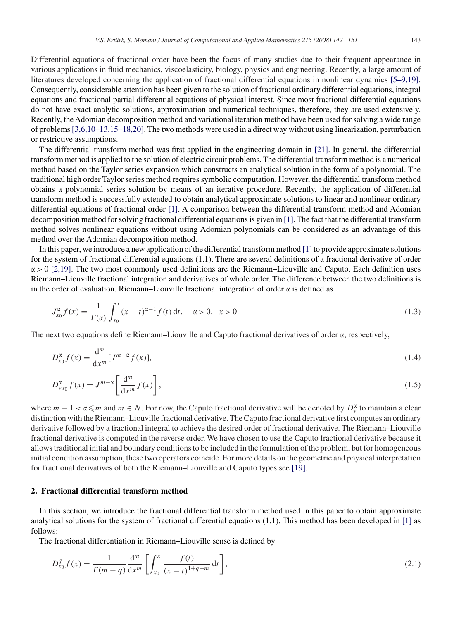Differential equations of fractional order have been the focus of many studies due to their frequent appearance in various applications in fluid mechanics, viscoelasticity, biology, physics and engineering. Recently, a large amount of literatures developed concerning the application of fractional differential equations in nonlinear dynamics [5–9,19]. Consequently, considerable attention has been given to the solution of fractional ordinary differential equations, integral equations and fractional partial differential equations of physical interest. Since most fractional differential equations do not have exact analytic solutions, approximation and numerical techniques, therefore, they are used extensively. Recently, the Adomian decomposition method and variational iteration method have been used for solving a wide range of problems[3,6,10–13,15–18,20]. The two methods were used in a direct way without using linearization, perturbation or restrictive assumptions.

The differential transform method was first applied in the engineering domain in [21]. In general, the differential transform method is applied to the solution of electric circuit problems. The differential transform method is a numerical method based on the Taylor series expansion which constructs an analytical solution in the form of a polynomial. The traditional high order Taylor series method requires symbolic computation. However, the differential transform method obtains a polynomial series solution by means of an iterative procedure. Recently, the application of differential transform method is successfully extended to obtain analytical approximate solutions to linear and nonlinear ordinary differential equations of fractional order [1]. A comparison between the differential transform method and Adomian decomposition method for solving fractional differential equations is given in [1]. The fact that the differential transform method solves nonlinear equations without using Adomian polynomials can be considered as an advantage of this method over the Adomian decomposition method.

In this paper, we introduce a new application of the differential transform method  $[1]$  to provide approximate solutions for the system of fractional differential equations (1.1). There are several definitions of a fractional derivative of order  $\alpha$  > 0 [2,19]. The two most commonly used definitions are the Riemann–Liouville and Caputo. Each definition uses Riemann–Liouville fractional integration and derivatives of whole order. The difference between the two definitions is in the order of evaluation. Riemann–Liouville fractional integration of order  $\alpha$  is defined as

$$
J_{x_0}^{\alpha} f(x) = \frac{1}{\Gamma(\alpha)} \int_{x_0}^{x} (x - t)^{\alpha - 1} f(t) dt, \quad \alpha > 0, \quad x > 0.
$$
 (1.3)

The next two equations define Riemann–Liouville and Caputo fractional derivatives of order  $\alpha$ , respectively,

$$
D_{x_0}^{\alpha} f(x) = \frac{d^m}{dx^m} [J^{m-\alpha} f(x)],
$$
\n(1.4)

$$
D_{\ast x_0}^{\alpha} f(x) = J^{m-\alpha} \left[ \frac{\mathrm{d}^m}{\mathrm{d}x^m} f(x) \right],\tag{1.5}
$$

where  $m-1 < \alpha \le m$  and  $m \in N$ . For now, the Caputo fractional derivative will be denoted by  $D_*^{\alpha}$  to maintain a clear ∗ distinction with the Riemann–Liouville fractional derivative. The Caputo fractional derivative first computes an ordinary derivative followed by a fractional integral to achieve the desired order of fractional derivative. The Riemann–Liouville fractional derivative is computed in the reverse order. We have chosen to use the Caputo fractional derivative because it allows traditional initial and boundary conditions to be included in the formulation of the problem, but for homogeneous initial condition assumption, these two operators coincide. For more details on the geometric and physical interpretation for fractional derivatives of both the Riemann–Liouville and Caputo types see [19].

## **2. Fractional differential transform method**

In this section, we introduce the fractional differential transform method used in this paper to obtain approximate analytical solutions for the system of fractional differential equations (1.1). This method has been developed in [1] as follows:

The fractional differentiation in Riemann–Liouville sense is defined by

$$
D_{x_0}^q f(x) = \frac{1}{\Gamma(m-q)} \frac{d^m}{dx^m} \left[ \int_{x_0}^x \frac{f(t)}{(x-t)^{1+q-m}} dt \right],
$$
\n(2.1)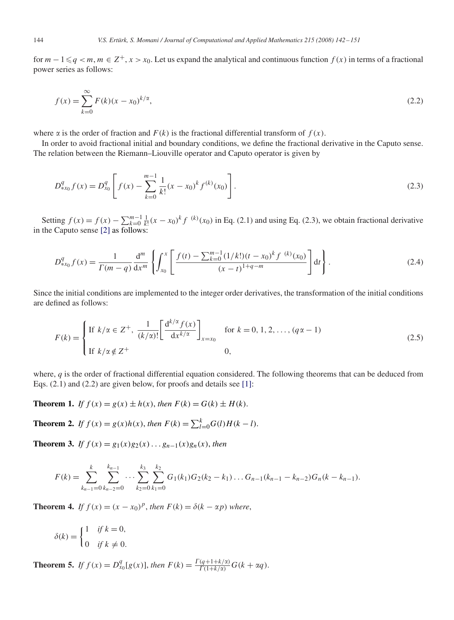for  $m-1 \le q < m$ ,  $m \in \mathbb{Z}^+$ ,  $x > x_0$ . Let us expand the analytical and continuous function  $f(x)$  in terms of a fractional power series as follows:

$$
f(x) = \sum_{k=0}^{\infty} F(k)(x - x_0)^{k/\alpha},
$$
\n(2.2)

where  $\alpha$  is the order of fraction and  $F(k)$  is the fractional differential transform of  $f(x)$ .

In order to avoid fractional initial and boundary conditions, we define the fractional derivative in the Caputo sense. The relation between the Riemann–Liouville operator and Caputo operator is given by

$$
D_{*x_0}^q f(x) = D_{x_0}^q \left[ f(x) - \sum_{k=0}^{m-1} \frac{1}{k!} (x - x_0)^k f^{(k)}(x_0) \right].
$$
 (2.3)

Setting  $f(x) = f(x) - \sum_{k=0}^{m-1} \frac{1}{k!} (x - x_0)^k f^{(k)}(x_0)$  in Eq. (2.1) and using Eq. (2.3), we obtain fractional derivative in the Caputo sense [2] as follows:

$$
D_{*x_0}^q f(x) = \frac{1}{\Gamma(m-q)} \frac{d^m}{dx^m} \left\{ \int_{x_0}^x \left[ \frac{f(t) - \sum_{k=0}^{m-1} (1/k!)(t-x_0)^k f^{(k)}(x_0)}{(x-t)^{1+q-m}} \right] dt \right\}.
$$
 (2.4)

Since the initial conditions are implemented to the integer order derivatives, the transformation of the initial conditions are defined as follows:

$$
F(k) = \begin{cases} \text{If } k/\alpha \in \mathbb{Z}^+, \ \frac{1}{(k/\alpha)!} \left[ \frac{d^{k/\alpha} f(x)}{dx^{k/\alpha}} \right]_{x=x_0} & \text{for } k = 0, 1, 2, \dots, (q\alpha - 1) \\ \text{If } k/\alpha \notin \mathbb{Z}^+ & 0, \end{cases} \tag{2.5}
$$

where, *q* is the order of fractional differential equation considered. The following theorems that can be deduced from Eqs. (2.1) and (2.2) are given below, for proofs and details see [1]:

**Theorem 1.** *If*  $f(x) = g(x) \pm h(x)$ , *then*  $F(k) = G(k) \pm H(k)$ .

**Theorem 2.** If 
$$
f(x) = g(x)h(x)
$$
, then  $F(k) = \sum_{l=0}^{k} G(l)H(k-l)$ .

**Theorem 3.** *If*  $f(x) = g_1(x)g_2(x) \dots g_{n-1}(x)g_n(x)$ , *then* 

$$
F(k) = \sum_{k_{n-1}=0}^{k} \sum_{k_{n-2}=0}^{k_{n-1}} \cdots \sum_{k_2=0}^{k_3} \sum_{k_1=0}^{k_2} G_1(k_1) G_2(k_2 - k_1) \ldots G_{n-1}(k_{n-1} - k_{n-2}) G_n(k - k_{n-1}).
$$

**Theorem 4.** *If*  $f(x) = (x - x_0)^p$ , *then*  $F(k) = \delta(k - \alpha p)$  *where*,

$$
\delta(k) = \begin{cases} 1 & \text{if } k = 0, \\ 0 & \text{if } k \neq 0. \end{cases}
$$

**Theorem 5.** *If*  $f(x) = D_{x_0}^q[g(x)]$ , *then*  $F(k) = \frac{\Gamma(q+1+k/x)}{\Gamma(1+k/x)} G(k+\alpha q)$ .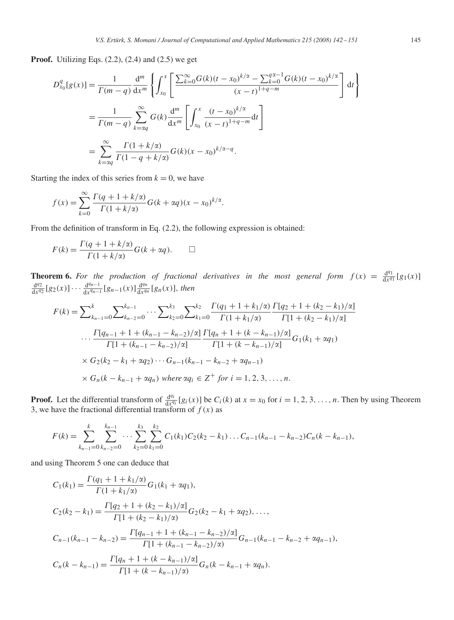**Proof.** Utilizing Eqs. (2.2), (2.4) and (2.5) we get

$$
D_{x_0}^q[g(x)] = \frac{1}{\Gamma(m-q)} \frac{d^m}{dx^m} \left\{ \int_{x_0}^x \left[ \frac{\sum_{k=0}^\infty G(k)(t-x_0)^{k/\alpha} - \sum_{k=0}^{q\alpha-1} G(k)(t-x_0)^{k/\alpha}}{(x-t)^{1+q-m}} \right] dt \right\}
$$
  

$$
= \frac{1}{\Gamma(m-q)} \sum_{k=\alpha q}^\infty G(k) \frac{d^m}{dx^m} \left[ \int_{x_0}^x \frac{(t-x_0)^{k/\alpha}}{(x-t)^{1+q-m}} dt \right]
$$
  

$$
= \sum_{k=\alpha q}^\infty \frac{\Gamma(1+k/\alpha)}{\Gamma(1-q+k/\alpha)} G(k) (x-x_0)^{k/\alpha-q}.
$$

Starting the index of this series from  $k = 0$ , we have

$$
f(x) = \sum_{k=0}^{\infty} \frac{\Gamma(q+1+k/\alpha)}{\Gamma(1+k/\alpha)} G(k+\alpha q)(x-x_0)^{k/\alpha}.
$$

From the definition of transform in Eq. (2.2), the following expression is obtained:

$$
F(k) = \frac{\Gamma(q + 1 + k/\alpha)}{\Gamma(1 + k/\alpha)} G(k + \alpha q). \qquad \Box
$$

**Theorem 6.** For the production of fractional derivatives in the most general form  $f(x) = \frac{d^{q_1}}{dx^{q_1}}$ **Theorem 6.** For the production of fractional derivatives in the most general form  $f(x) = \frac{d^{q_1}}{dx^{q_1}} [g_1(x)]$ <br> $\frac{d^{q_2}}{dx^{q_1}} [g_2(x)] \dots \frac{d^{q_{n-1}}}{dx^{q_1}} [g_{n-1}(x)]$  then  $\frac{d^{q_2}}{dx^{q_2}}[g_2(x)]\cdots \frac{d^{q_{n-1}}}{dx^{q_{n-1}}}[g_{n-1}(x)]\frac{d^{q_n}}{dx^{q_n}}$  $\frac{d^{qn}}{dx^{qn}}$ [g<sub>n</sub>(x)], then

$$
F(k) = \sum_{k_{n-1}=0}^{k} \sum_{k_{n-2}=0}^{k_{n-1}} \cdots \sum_{k_{2}=0}^{k_{3}} \sum_{k_{1}=0}^{k_{2}} \frac{\Gamma(q_{1} + 1 + k_{1}/\alpha)}{\Gamma(1 + k_{1}/\alpha)} \frac{\Gamma(q_{2} + 1 + (k_{2} - k_{1})/\alpha]}{\Gamma[1 + (k_{2} - k_{1})/\alpha]}
$$

$$
\cdots \frac{\Gamma(q_{n-1} + 1 + (k_{n-1} - k_{n-2})/\alpha)}{\Gamma[1 + (k_{n-1} - k_{n-2})/\alpha]} \frac{\Gamma(q_{n} + 1 + (k - k_{n-1})/\alpha]}{\Gamma[1 + (k - k_{n-1})/\alpha]} G_{1}(k_{1} + \alpha q_{1})
$$

$$
\times G_{2}(k_{2} - k_{1} + \alpha q_{2}) \cdots G_{n-1}(k_{n-1} - k_{n-2} + \alpha q_{n-1})
$$

$$
\times G_{n}(k - k_{n-1} + \alpha q_{n}) \text{ where } \alpha q_{i} \in \mathbb{Z}^{+} \text{ for } i = 1, 2, 3, \dots, n.
$$

**Proof.** Let the differential transform of  $\frac{d^{q_i}}{dx^{q_i}}$  $\frac{d^{n}}{dx^{q_i}}[g_i(x)]$  be  $C_i(k)$  at  $x = x_0$  for  $i = 1, 2, 3, ..., n$ . Then by using Theorem 3, we have the fractional differential transform of  $f(x)$  as

$$
F(k) = \sum_{k_{n-1}=0}^{k} \sum_{k_{n-2}=0}^{k_{n-1}} \cdots \sum_{k_2=0}^{k_3} \sum_{k_1=0}^{k_2} C_1(k_1) C_2(k_2 - k_1) \ldots C_{n-1}(k_{n-1} - k_{n-2}) C_n(k - k_{n-1}),
$$

and using Theorem 5 one can deduce that

$$
C_1(k_1) = \frac{\Gamma(q_1 + 1 + k_1/\alpha)}{\Gamma(1 + k_1/\alpha)} G_1(k_1 + \alpha q_1),
$$
  
\n
$$
C_2(k_2 - k_1) = \frac{\Gamma[q_2 + 1 + (k_2 - k_1)/\alpha]}{\Gamma[1 + (k_2 - k_1)/\alpha]} G_2(k_2 - k_1 + \alpha q_2), ...,
$$
  
\n
$$
C_{n-1}(k_{n-1} - k_{n-2}) = \frac{\Gamma[q_{n-1} + 1 + (k_{n-1} - k_{n-2})/\alpha]}{\Gamma[1 + (k_{n-1} - k_{n-2})/\alpha]} G_{n-1}(k_{n-1} - k_{n-2} + \alpha q_{n-1}),
$$
  
\n
$$
C_n(k - k_{n-1}) = \frac{\Gamma[q_n + 1 + (k - k_{n-1})/\alpha]}{\Gamma[1 + (k - k_{n-1})/\alpha]} G_n(k - k_{n-1} + \alpha q_n).
$$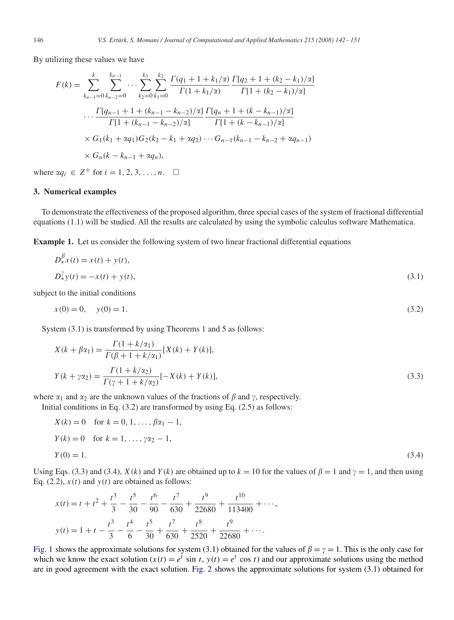By utilizing these values we have

$$
F(k) = \sum_{k_{n-1}=0}^{k} \sum_{k_{n-2}=0}^{k_{n-1}} \cdots \sum_{k_{2}=0}^{k_{3}} \sum_{k_{1}=0}^{k_{2}} \frac{\Gamma(q_{1} + 1 + k_{1}/\alpha)}{\Gamma(1 + k_{1}/\alpha)} \frac{\Gamma[q_{2} + 1 + (k_{2} - k_{1})/\alpha]}{\Gamma[1 + (k_{2} - k_{1})/\alpha]}
$$

$$
\cdots \frac{\Gamma[q_{n-1} + 1 + (k_{n-1} - k_{n-2})/\alpha]}{\Gamma[1 + (k_{n-1} - k_{n-2})/\alpha]} \frac{\Gamma[q_{n} + 1 + (k - k_{n-1})/\alpha]}{\Gamma[1 + (k - k_{n-1})/\alpha]}
$$

$$
\times G_{1}(k_{1} + \alpha q_{1})G_{2}(k_{2} - k_{1} + \alpha q_{2}) \cdots G_{n-1}(k_{n-1} - k_{n-2} + \alpha q_{n-1})
$$

$$
\times G_{n}(k - k_{n-1} + \alpha q_{n}),
$$

where  $\alpha q_i \in \mathbb{Z}^+$  for  $i = 1, 2, 3, ..., n$ .  $\Box$ 

#### **3. Numerical examples**

To demonstrate the effectiveness of the proposed algorithm, three special cases of the system of fractional differential equations (1.1) will be studied. All the results are calculated by using the symbolic calculus software Mathematica.

**Example 1.** Let us consider the following system of two linear fractional differential equations

$$
D_{*}^{\beta} x(t) = x(t) + y(t),
$$
  
\n
$$
D_{*}^{\gamma} y(t) = -x(t) + y(t),
$$
\n(3.1)

subject to the initial conditions

$$
x(0) = 0, \quad y(0) = 1. \tag{3.2}
$$

System (3.1) is transformed by using Theorems 1 and 5 as follows:

$$
X(k + \beta \alpha_1) = \frac{\Gamma(1 + k/\alpha_1)}{\Gamma(\beta + 1 + k/\alpha_1)} [X(k) + Y(k)],
$$
  
\n
$$
Y(k + \gamma \alpha_2) = \frac{\Gamma(1 + k/\alpha_2)}{\Gamma(\gamma + 1 + k/\alpha_2)} [-X(k) + Y(k)],
$$
\n(3.3)

where  $\alpha_1$  and  $\alpha_2$  are the unknown values of the fractions of  $\beta$  and  $\gamma$ , respectively.

Initial conditions in Eq. (3.2) are transformed by using Eq. (2.5) as follows:

$$
X(k) = 0 \text{ for } k = 0, 1, ..., \beta \alpha_1 - 1,
$$
  
\n
$$
Y(k) = 0 \text{ for } k = 1, ..., \gamma \alpha_2 - 1,
$$
  
\n
$$
Y(0) = 1.
$$
  
\n(3.4)

Using Eqs. (3.3) and (3.4),  $X(k)$  and  $Y(k)$  are obtained up to  $k = 10$  for the values of  $\beta = 1$  and  $\gamma = 1$ , and then using Eq. (2.2),  $x(t)$  and  $y(t)$  are obtained as follows:

$$
x(t) = t + t2 + \frac{t3}{3} - \frac{t5}{30} - \frac{t6}{90} - \frac{t7}{630} + \frac{t9}{22680} + \frac{t10}{113400} + \cdots,
$$
  

$$
y(t) = 1 + t - \frac{t3}{3} - \frac{t4}{6} - \frac{t5}{30} + \frac{t7}{630} + \frac{t8}{2520} + \frac{t9}{22680} + \cdots.
$$

Fig. 1 shows the approximate solutions for system (3.1) obtained for the values of  $\beta = \gamma = 1$ . This is the only case for which we know the exact solution  $(x(t)) = e^t \sin t$ ,  $y(t) = e^t \cos t$  and our approximate solutions using the method are in good agreement with the exact solution. Fig. 2 shows the approximate solutions for system (3.1) obtained for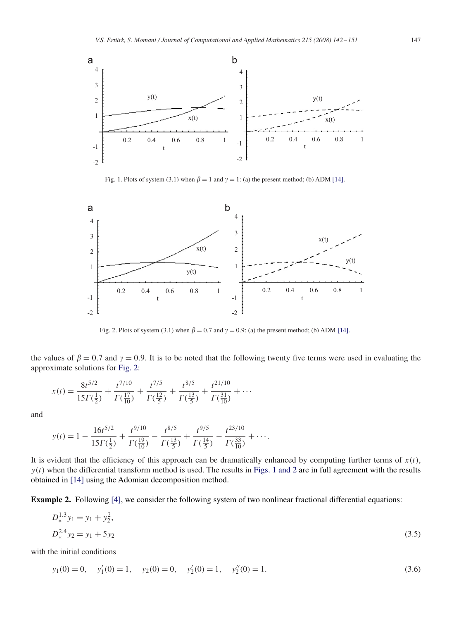

Fig. 1. Plots of system (3.1) when  $\beta = 1$  and  $\gamma = 1$ : (a) the present method; (b) ADM [14].



Fig. 2. Plots of system (3.1) when  $\beta = 0.7$  and  $\gamma = 0.9$ : (a) the present method; (b) ADM [14].

the values of  $\beta = 0.7$  and  $\gamma = 0.9$ . It is to be noted that the following twenty five terms were used in evaluating the approximate solutions for Fig. 2:

$$
x(t) = \frac{8t^{5/2}}{15\Gamma(\frac{1}{2})} + \frac{t^{7/10}}{\Gamma(\frac{17}{10})} + \frac{t^{7/5}}{\Gamma(\frac{12}{5})} + \frac{t^{8/5}}{\Gamma(\frac{13}{5})} + \frac{t^{21/10}}{\Gamma(\frac{31}{10})} + \cdots
$$

and

$$
y(t) = 1 - \frac{16t^{5/2}}{15\Gamma(\frac{1}{2})} + \frac{t^{9/10}}{\Gamma(\frac{19}{10})} - \frac{t^{8/5}}{\Gamma(\frac{13}{5})} + \frac{t^{9/5}}{\Gamma(\frac{14}{5})} - \frac{t^{23/10}}{\Gamma(\frac{33}{10})} + \cdots
$$

It is evident that the efficiency of this approach can be dramatically enhanced by computing further terms of  $x(t)$ ,  $y(t)$  when the differential transform method is used. The results in Figs. 1 and 2 are in full agreement with the results obtained in [14] using the Adomian decomposition method.

**Example 2.** Following [4], we consider the following system of two nonlinear fractional differential equations:

$$
D_*^{1.3} y_1 = y_1 + y_2^2,
$$
  
\n
$$
D_*^{2.4} y_2 = y_1 + 5y_2
$$
\n(3.5)

with the initial conditions

$$
y_1(0) = 0
$$
,  $y'_1(0) = 1$ ,  $y_2(0) = 0$ ,  $y'_2(0) = 1$ ,  $y''_2(0) = 1$ . (3.6)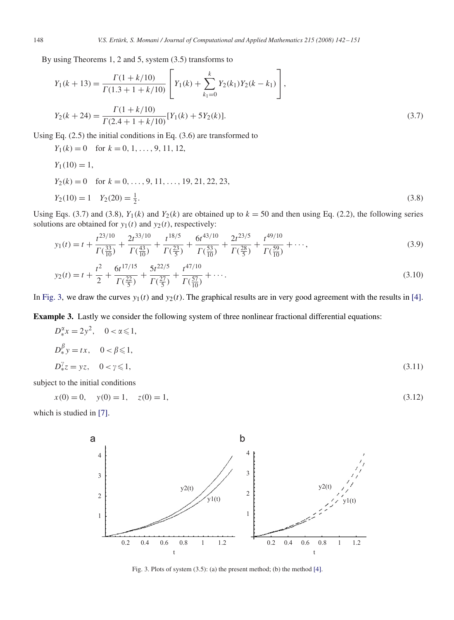By using Theorems 1, 2 and 5, system (3.5) transforms to

$$
Y_1(k+13) = \frac{\Gamma(1+k/10)}{\Gamma(1.3+1+k/10)} \left[ Y_1(k) + \sum_{k_1=0}^k Y_2(k_1) Y_2(k-k_1) \right],
$$
  
\n
$$
Y_2(k+24) = \frac{\Gamma(1+k/10)}{\Gamma(2.4+1+k/10)} [Y_1(k) + 5Y_2(k)].
$$
\n(3.7)

Using Eq. (2.5) the initial conditions in Eq. (3.6) are transformed to

 $Y_1(k) = 0$  for  $k = 0, 1, \ldots, 9, 11, 12,$ 

$$
Y_1(10) = 1,
$$
  
\n
$$
Y_2(k) = 0 \text{ for } k = 0, ..., 9, 11, ..., 19, 21, 22, 23,
$$
  
\n
$$
Y_2(10) = 1 \quad Y_2(20) = \frac{1}{2}.
$$
\n(3.8)

Using Eqs. (3.7) and (3.8),  $Y_1(k)$  and  $Y_2(k)$  are obtained up to  $k = 50$  and then using Eq. (2.2), the following series solutions are obtained for  $y_1(t)$  and  $y_2(t)$ , respectively:

$$
y_1(t) = t + \frac{t^{23/10}}{\Gamma(\frac{33}{10})} + \frac{2t^{33/10}}{\Gamma(\frac{43}{10})} + \frac{t^{18/5}}{\Gamma(\frac{23}{5})} + \frac{6t^{43/10}}{\Gamma(\frac{53}{10})} + \frac{2t^{23/5}}{\Gamma(\frac{28}{5})} + \frac{t^{49/10}}{\Gamma(\frac{59}{10})} + \cdots,
$$
\n
$$
y_2(t) = t + \frac{t^2}{2} + \frac{6t^{17/15}}{\Gamma(\frac{22}{10})} + \frac{5t^{22/5}}{\Gamma(\frac{27}{10})} + \frac{t^{47/10}}{\Gamma(\frac{57}{10})} + \cdots.
$$
\n(3.10)

$$
y_2(t) = t + \frac{1}{2} + \frac{1}{\Gamma(\frac{22}{5})} + \frac{1}{\Gamma(\frac{27}{5})} + \frac{1}{\Gamma(\frac{57}{10})} + \cdots
$$
\n(3.10)

In Fig. 3, we draw the curves  $y_1(t)$  and  $y_2(t)$ . The graphical results are in very good agreement with the results in [4].

**Example 3.** Lastly we consider the following system of three nonlinear fractional differential equations:

$$
D_{*}^{\alpha}x = 2y^{2}, \quad 0 < \alpha \le 1,
$$
  
\n
$$
D_{*}^{\beta}y = tx, \quad 0 < \beta \le 1,
$$
  
\n
$$
D_{*}^{\gamma}z = yz, \quad 0 < \gamma \le 1,
$$
  
\n(3.11)

subject to the initial conditions

$$
x(0) = 0, \quad y(0) = 1, \quad z(0) = 1,\tag{3.12}
$$

which is studied in [7].



Fig. 3. Plots of system (3.5): (a) the present method; (b) the method [4].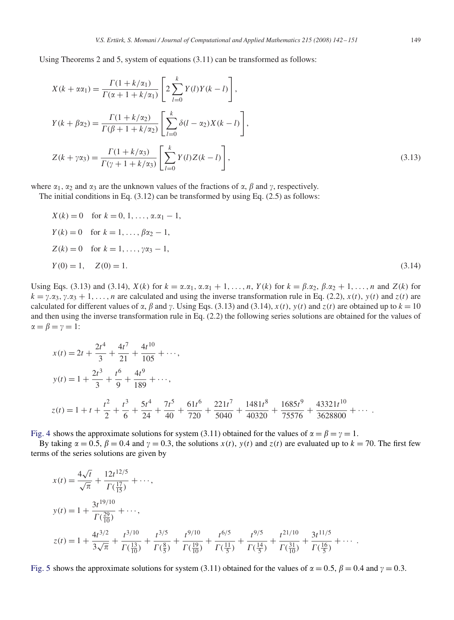Using Theorems 2 and 5, system of equations (3.11) can be transformed as follows:

$$
X(k + \alpha \alpha_1) = \frac{\Gamma(1 + k/\alpha_1)}{\Gamma(\alpha + 1 + k/\alpha_1)} \left[ 2 \sum_{l=0}^{k} Y(l)Y(k - l) \right],
$$
  
\n
$$
Y(k + \beta \alpha_2) = \frac{\Gamma(1 + k/\alpha_2)}{\Gamma(\beta + 1 + k/\alpha_2)} \left[ \sum_{l=0}^{k} \delta(l - \alpha_2)X(k - l) \right],
$$
  
\n
$$
Z(k + \gamma \alpha_3) = \frac{\Gamma(1 + k/\alpha_3)}{\Gamma(\gamma + 1 + k/\alpha_3)} \left[ \sum_{l=0}^{k} Y(l)Z(k - l) \right],
$$
\n(3.13)

where  $\alpha_1$ ,  $\alpha_2$  and  $\alpha_3$  are the unknown values of the fractions of  $\alpha$ ,  $\beta$  and  $\gamma$ , respectively.

The initial conditions in Eq.  $(3.12)$  can be transformed by using Eq.  $(2.5)$  as follows:

$$
X(k) = 0 \text{ for } k = 0, 1, ..., \alpha \cdot \alpha_1 - 1,
$$
  
\n
$$
Y(k) = 0 \text{ for } k = 1, ..., \beta \alpha_2 - 1,
$$
  
\n
$$
Z(k) = 0 \text{ for } k = 1, ..., \gamma \alpha_3 - 1,
$$
  
\n
$$
Y(0) = 1, \quad Z(0) = 1.
$$
  
\n(3.14)

Using Eqs. (3.13) and (3.14),  $X(k)$  for  $k = \alpha \cdot \alpha_1, \alpha \cdot \alpha_1 + 1, \ldots, n$ ,  $Y(k)$  for  $k = \beta \cdot \alpha_2, \beta \cdot \alpha_2 + 1, \ldots, n$  and  $Z(k)$  for  $k = \gamma \cdot \alpha_3, \gamma \cdot \alpha_3 + 1, \ldots, n$  are calculated and using the inverse transformation rule in Eq. (2.2),  $x(t)$ ,  $y(t)$  and  $z(t)$  are calculated for different values of  $\alpha$ ,  $\beta$  and  $\gamma$ . Using Eqs. (3.13) and (3.14),  $x(t)$ ,  $y(t)$  and  $z(t)$  are obtained up to  $k = 10$ and then using the inverse transformation rule in Eq. (2.2) the following series solutions are obtained for the values of  $\alpha = \beta = \gamma = 1$ :

$$
x(t) = 2t + \frac{2t^4}{3} + \frac{4t^7}{21} + \frac{4t^{10}}{105} + \cdots,
$$
  
\n
$$
y(t) = 1 + \frac{2t^3}{3} + \frac{t^6}{9} + \frac{4t^9}{189} + \cdots,
$$
  
\n
$$
z(t) = 1 + t + \frac{t^2}{2} + \frac{t^3}{6} + \frac{5t^4}{24} + \frac{7t^5}{40} + \frac{61t^6}{720} + \frac{221t^7}{5040} + \frac{1481t^8}{40320} + \frac{1685t^9}{75576} + \frac{43321t^{10}}{3628800} + \cdots.
$$

Fig. 4 shows the approximate solutions for system (3.11) obtained for the values of  $\alpha = \beta = \gamma = 1$ .

By taking  $\alpha = 0.5$ ,  $\beta = 0.4$  and  $\gamma = 0.3$ , the solutions  $x(t)$ ,  $y(t)$  and  $z(t)$  are evaluated up to  $k = 70$ . The first few terms of the series solutions are given by

$$
x(t) = \frac{4\sqrt{t}}{\sqrt{\pi}} + \frac{12t^{12/5}}{\Gamma(\frac{17}{15})} + \cdots,
$$
  
\n
$$
y(t) = 1 + \frac{3t^{19/10}}{\Gamma(\frac{29}{10})} + \cdots,
$$
  
\n
$$
z(t) = 1 + \frac{4t^{3/2}}{3\sqrt{\pi}} + \frac{t^{3/10}}{\Gamma(\frac{13}{10})} + \frac{t^{3/5}}{\Gamma(\frac{8}{5})} + \frac{t^{9/10}}{\Gamma(\frac{19}{10})} + \frac{t^{6/5}}{\Gamma(\frac{11}{5})} + \frac{t^{9/5}}{\Gamma(\frac{14}{5})} + \frac{t^{21/10}}{\Gamma(\frac{31}{10})} + \frac{3t^{11/5}}{\Gamma(\frac{16}{5})} + \cdots.
$$

Fig. 5 shows the approximate solutions for system (3.11) obtained for the values of  $\alpha = 0.5$ ,  $\beta = 0.4$  and  $\gamma = 0.3$ .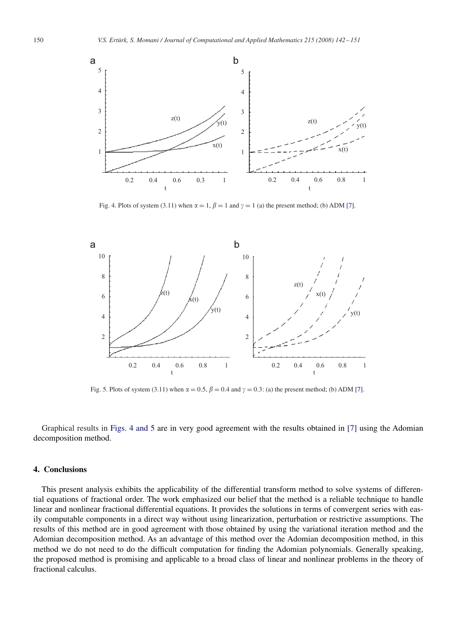

Fig. 4. Plots of system (3.11) when  $\alpha = 1$ ,  $\beta = 1$  and  $\gamma = 1$  (a) the present method; (b) ADM [7].



Fig. 5. Plots of system (3.11) when  $\alpha = 0.5$ ,  $\beta = 0.4$  and  $\gamma = 0.3$ : (a) the present method; (b) ADM [7].

Graphical results in Figs. 4 and 5 are in very good agreement with the results obtained in [7] using the Adomian decomposition method.

### **4. Conclusions**

This present analysis exhibits the applicability of the differential transform method to solve systems of differential equations of fractional order. The work emphasized our belief that the method is a reliable technique to handle linear and nonlinear fractional differential equations. It provides the solutions in terms of convergent series with easily computable components in a direct way without using linearization, perturbation or restrictive assumptions. The results of this method are in good agreement with those obtained by using the variational iteration method and the Adomian decomposition method. As an advantage of this method over the Adomian decomposition method, in this method we do not need to do the difficult computation for finding the Adomian polynomials. Generally speaking, the proposed method is promising and applicable to a broad class of linear and nonlinear problems in the theory of fractional calculus.